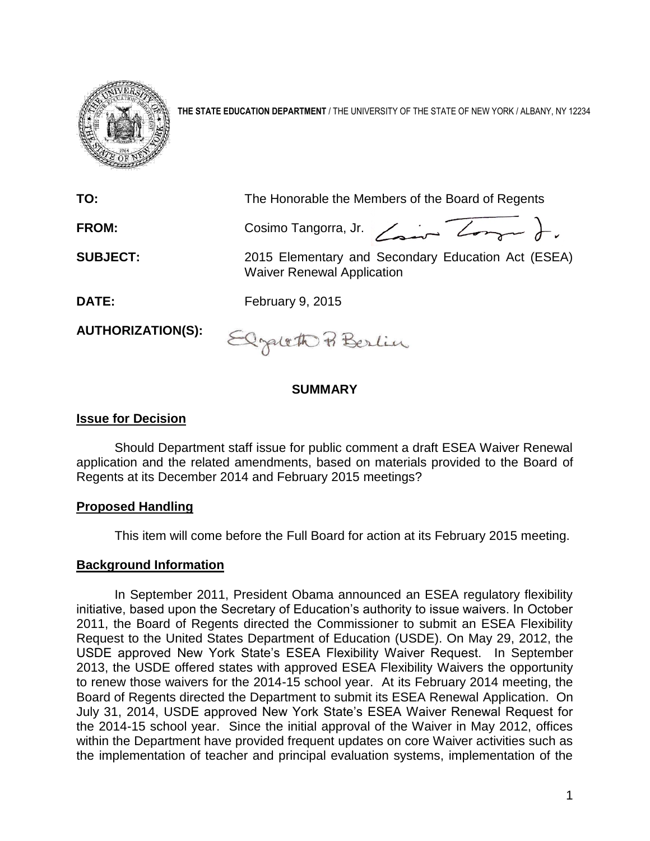

**THE STATE EDUCATION DEPARTMENT** / THE UNIVERSITY OF THE STATE OF NEW YORK / ALBANY, NY 12234

| TO:                      | The Honorable the Members of the Board of Regents                                       |
|--------------------------|-----------------------------------------------------------------------------------------|
| FROM:                    | Cosimo Tangorra, Jr. $\angle$                                                           |
| <b>SUBJECT:</b>          | 2015 Elementary and Secondary Education Act (ESEA)<br><b>Waiver Renewal Application</b> |
| DATE:                    | February 9, 2015                                                                        |
| <b>AUTHORIZATION(S):</b> | Elgaloth & Berlin                                                                       |

### **SUMMARY**

 $\tilde{O}$ 

### **Issue for Decision**

Should Department staff issue for public comment a draft ESEA Waiver Renewal application and the related amendments, based on materials provided to the Board of Regents at its December 2014 and February 2015 meetings?

#### **Proposed Handling**

This item will come before the Full Board for action at its February 2015 meeting.

# **Background Information**

In September 2011, President Obama announced an ESEA regulatory flexibility initiative, based upon the Secretary of Education's authority to issue waivers. In October 2011, the Board of Regents directed the Commissioner to submit an ESEA Flexibility Request to the United States Department of Education (USDE). On May 29, 2012, the USDE approved New York State's ESEA Flexibility Waiver Request. In September 2013, the USDE offered states with approved ESEA Flexibility Waivers the opportunity to renew those waivers for the 2014-15 school year. At its February 2014 meeting, the Board of Regents directed the Department to submit its ESEA Renewal Application. On July 31, 2014, USDE approved New York State's ESEA Waiver Renewal Request for the 2014-15 school year. Since the initial approval of the Waiver in May 2012, offices within the Department have provided frequent updates on core Waiver activities such as the implementation of teacher and principal evaluation systems, implementation of the